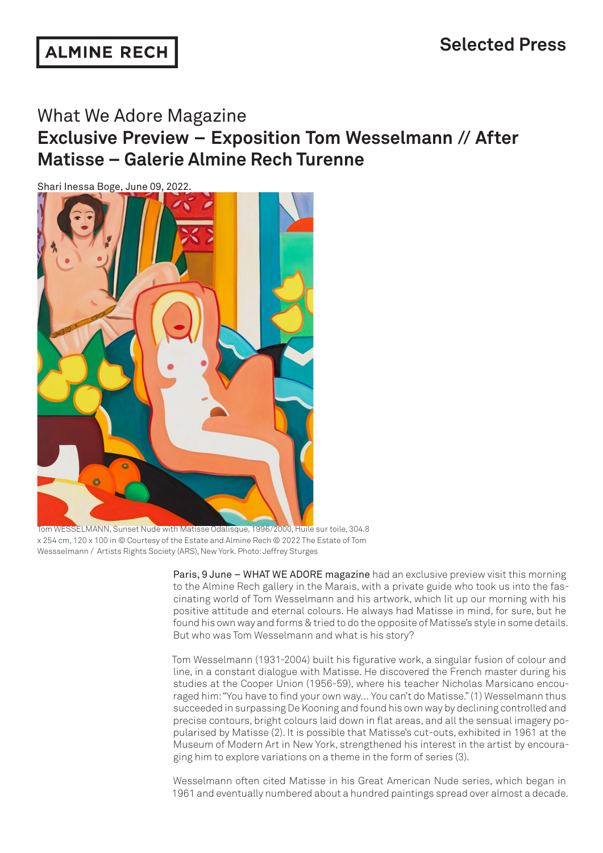## What We Adore Magazine

**Exclusive Preview – Exposition Tom Wesselmann // After Matisse – Galerie Almine Rech Turenne**

Shari Inessa Boge, June 09, 2022.



Tom WESSELMANN, Sunset Nude with Matisse Odalisque, 1996/2000, Huile sur toile, 304.8 x 254 cm, 120 x 100 in © Courtesy of the Estate and Almine Rech © 2022 The Estate of Tom Wessselmann / Artists Rights Society (ARS), New York. Photo: Jeffrey Sturges

Paris, 9 June – WHAT WE ADORE magazine had an exclusive preview visit this morning to the Almine Rech gallery in the Marais, with a private guide who took us into the fascinating world of Tom Wesselmann and his artwork, which lit up our morning with his positive attitude and eternal colours. He always had Matisse in mind, for sure, but he found his own way and forms & tried to do the opposite of Matisse's style in some details. But who was Tom Wesselmann and what is his story?

Tom Wesselmann (1931-2004) built his figurative work, a singular fusion of colour and line, in a constant dialogue with Matisse. He discovered the French master during his studies at the Cooper Union (1956-59), where his teacher Nicholas Marsicano encouraged him: "You have to find your own way… You can't do Matisse." (1) Wesselmann thus succeeded in surpassing De Kooning and found his own way by declining controlled and precise contours, bright colours laid down in flat areas, and all the sensual imagery popularised by Matisse (2). It is possible that Matisse's cut-outs, exhibited in 1961 at the Museum of Modern Art in New York, strengthened his interest in the artist by encouraging him to explore variations on a theme in the form of series (3).

Wesselmann often cited Matisse in his Great American Nude series, which began in 1961 and eventually numbered about a hundred paintings spread over almost a decade.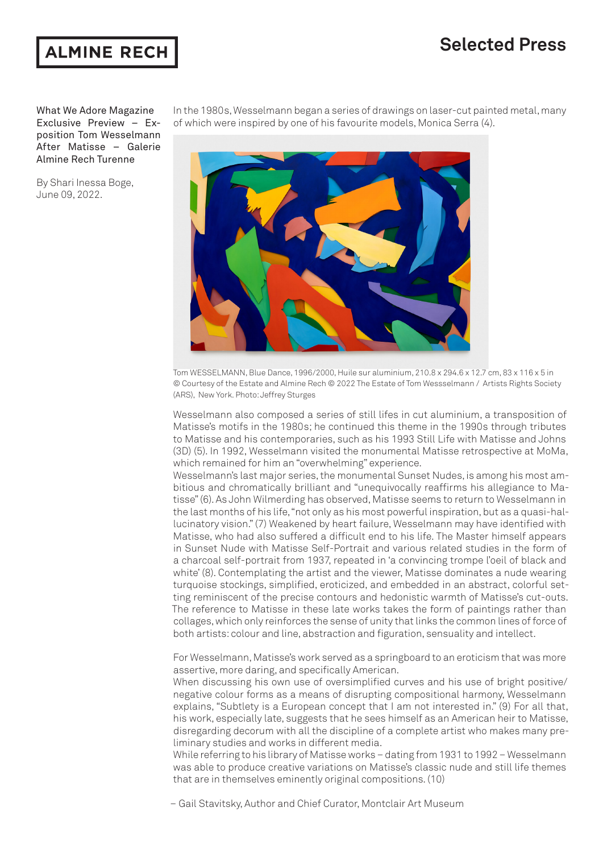## **Selected Press**



What We Adore Magazine Exclusive Preview – Exposition Tom Wesselmann After Matisse – Galerie Almine Rech Turenne

By Shari Inessa Boge, June 09, 2022.

In the 1980s, Wesselmann began a series of drawings on laser-cut painted metal, many of which were inspired by one of his favourite models, Monica Serra (4).



Tom WESSELMANN, Blue Dance, 1996/2000, Huile sur aluminium, 210.8 x 294.6 x 12.7 cm, 83 x 116 x 5 in © Courtesy of the Estate and Almine Rech © 2022 The Estate of Tom Wessselmann / Artists Rights Society (ARS), New York. Photo: Jeffrey Sturges

Wesselmann also composed a series of still lifes in cut aluminium, a transposition of Matisse's motifs in the 1980s; he continued this theme in the 1990s through tributes to Matisse and his contemporaries, such as his 1993 Still Life with Matisse and Johns (3D) (5). In 1992, Wesselmann visited the monumental Matisse retrospective at MoMa, which remained for him an "overwhelming" experience.

Wesselmann's last major series, the monumental Sunset Nudes, is among his most ambitious and chromatically brilliant and "unequivocally reaffirms his allegiance to Matisse" (6). As John Wilmerding has observed, Matisse seems to return to Wesselmann in the last months of his life, "not only as his most powerful inspiration, but as a quasi-hallucinatory vision." (7) Weakened by heart failure, Wesselmann may have identified with Matisse, who had also suffered a difficult end to his life. The Master himself appears in Sunset Nude with Matisse Self-Portrait and various related studies in the form of a charcoal self-portrait from 1937, repeated in 'a convincing trompe l'oeil of black and white' (8). Contemplating the artist and the viewer, Matisse dominates a nude wearing turquoise stockings, simplified, eroticized, and embedded in an abstract, colorful setting reminiscent of the precise contours and hedonistic warmth of Matisse's cut-outs. The reference to Matisse in these late works takes the form of paintings rather than collages, which only reinforces the sense of unity that links the common lines of force of both artists: colour and line, abstraction and figuration, sensuality and intellect.

For Wesselmann, Matisse's work served as a springboard to an eroticism that was more assertive, more daring, and specifically American.

When discussing his own use of oversimplified curves and his use of bright positive/ negative colour forms as a means of disrupting compositional harmony, Wesselmann explains, "Subtlety is a European concept that I am not interested in." (9) For all that, his work, especially late, suggests that he sees himself as an American heir to Matisse, disregarding decorum with all the discipline of a complete artist who makes many preliminary studies and works in different media.

While referring to his library of Matisse works – dating from 1931 to 1992 – Wesselmann was able to produce creative variations on Matisse's classic nude and still life themes that are in themselves eminently original compositions. (10)

– Gail Stavitsky, Author and Chief Curator, Montclair Art Museum